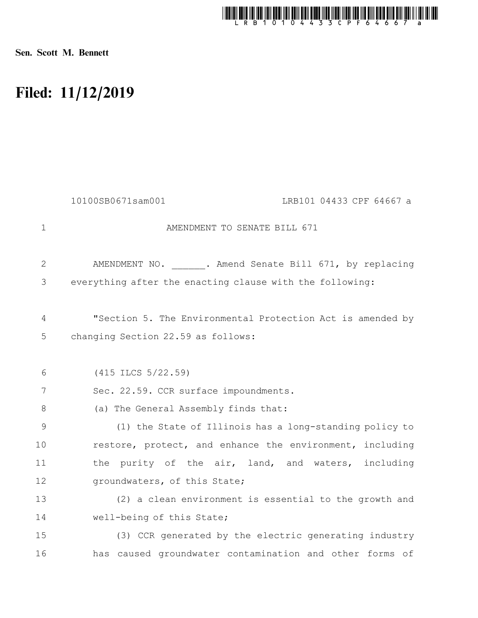

Sen. Scott M. Bennett

## Filed: 11/12/2019

|             | 10100SB0671sam001<br>LRB101 04433 CPF 64667 a              |
|-------------|------------------------------------------------------------|
| $\mathbf 1$ | AMENDMENT TO SENATE BILL 671                               |
| 2           | AMENDMENT NO. . Amend Senate Bill 671, by replacing        |
| 3           | everything after the enacting clause with the following:   |
| 4           | "Section 5. The Environmental Protection Act is amended by |
| 5           | changing Section 22.59 as follows:                         |
| 6           | (415 ILCS 5/22.59)                                         |
| 7           | Sec. 22.59. CCR surface impoundments.                      |
| 8           | (a) The General Assembly finds that:                       |
| 9           | (1) the State of Illinois has a long-standing policy to    |
| 10          | restore, protect, and enhance the environment, including   |
| 11          | the purity of the air, land, and waters, including         |
| 12          | groundwaters, of this State;                               |
| 13          | (2) a clean environment is essential to the growth and     |
| 14          | well-being of this State;                                  |
| 15          | (3) CCR generated by the electric generating industry      |
| 16          | has caused groundwater contamination and other forms of    |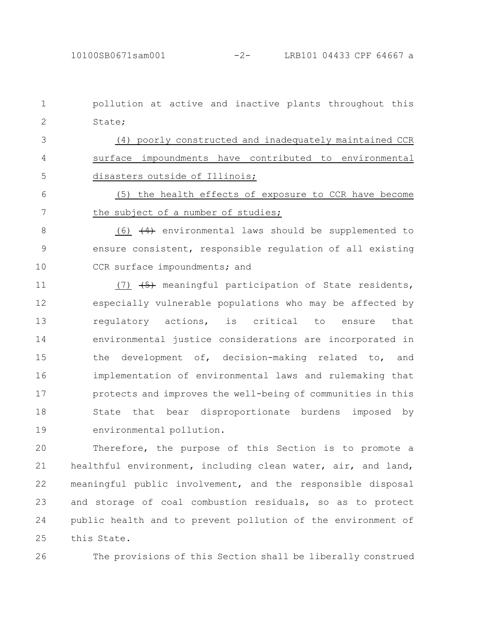pollution at active and inactive plants throughout this State; (4) poorly constructed and inadequately maintained CCR surface impoundments have contributed to environmental disasters outside of Illinois; (5) the health effects of exposure to CCR have become the subject of a number of studies; (6)  $(4)$  environmental laws should be supplemented to ensure consistent, responsible regulation of all existing CCR surface impoundments; and (7)  $\left(5\right)$  meaningful participation of State residents, especially vulnerable populations who may be affected by regulatory actions, is critical to ensure that environmental justice considerations are incorporated in the development of, decision-making related to, and implementation of environmental laws and rulemaking that protects and improves the well-being of communities in this State that bear disproportionate burdens imposed by 1 2 3 4 5 6 7 8 9 10 11 12 13 14 15 16 17 18

environmental pollution. 19

Therefore, the purpose of this Section is to promote a healthful environment, including clean water, air, and land, meaningful public involvement, and the responsible disposal and storage of coal combustion residuals, so as to protect public health and to prevent pollution of the environment of this State. 20 21 22 23 24 25

26

The provisions of this Section shall be liberally construed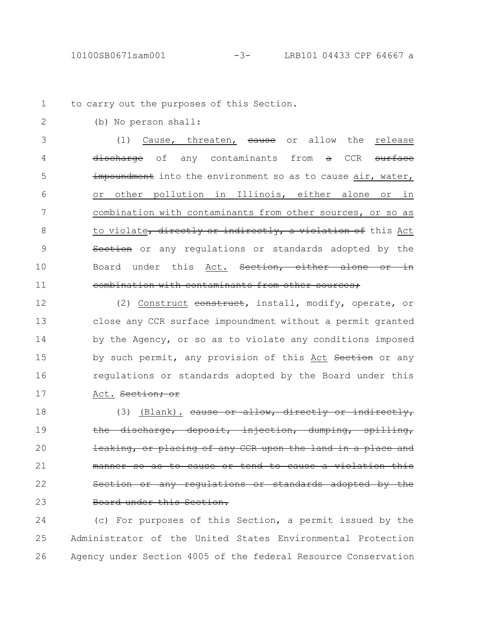2

to carry out the purposes of this Section. 1

(b) No person shall:

(1) Cause, threaten, eause or allow the release discharge of any contaminants from a CCR surface impoundment into the environment so as to cause air, water, or other pollution in Illinois, either alone or in combination with contaminants from other sources, or so as to violate, directly or indirectly, a violation of this Act Section or any regulations or standards adopted by the Board under this Act. Section, either alone or in combination with contaminants from other sources; 3 4 5 6 7 8 9 10 11

(2) Construct construct, install, modify, operate, or close any CCR surface impoundment without a permit granted by the Agency, or so as to violate any conditions imposed by such permit, any provision of this Act Section or any regulations or standards adopted by the Board under this Act. Section; or 12 13 14 15 16 17

(3) (Blank). cause or allow, directly or indirectly, the discharge, deposit, injection, dumping, spilling, leaking, or placing of any CCR upon the land in a place and manner so as to cause or tend to cause a violation this any regulations or standards adopted by the Board under this Section. 18 19 20 21 22 23

(c) For purposes of this Section, a permit issued by the Administrator of the United States Environmental Protection Agency under Section 4005 of the federal Resource Conservation 24 25 26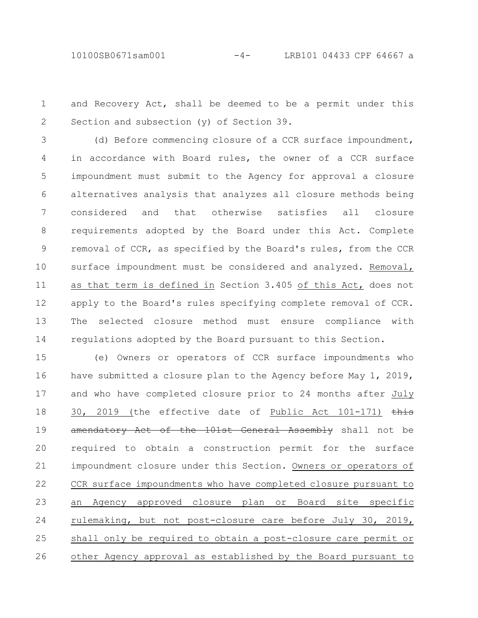and Recovery Act, shall be deemed to be a permit under this Section and subsection (y) of Section 39. 1 2

(d) Before commencing closure of a CCR surface impoundment, in accordance with Board rules, the owner of a CCR surface impoundment must submit to the Agency for approval a closure alternatives analysis that analyzes all closure methods being considered and that otherwise satisfies all closure requirements adopted by the Board under this Act. Complete removal of CCR, as specified by the Board's rules, from the CCR surface impoundment must be considered and analyzed. Removal, as that term is defined in Section 3.405 of this Act, does not apply to the Board's rules specifying complete removal of CCR. The selected closure method must ensure compliance with regulations adopted by the Board pursuant to this Section. 3 4 5 6 7 8 9 10 11 12 13 14

(e) Owners or operators of CCR surface impoundments who have submitted a closure plan to the Agency before May 1, 2019, and who have completed closure prior to 24 months after July 30, 2019 (the effective date of Public Act 101-171) this amendatory Act of the 101st General Assembly shall not be required to obtain a construction permit for the surface impoundment closure under this Section. Owners or operators of CCR surface impoundments who have completed closure pursuant to an Agency approved closure plan or Board site specific rulemaking, but not post-closure care before July 30, 2019, shall only be required to obtain a post-closure care permit or other Agency approval as established by the Board pursuant to 15 16 17 18 19 20 21 22 23 24 25 26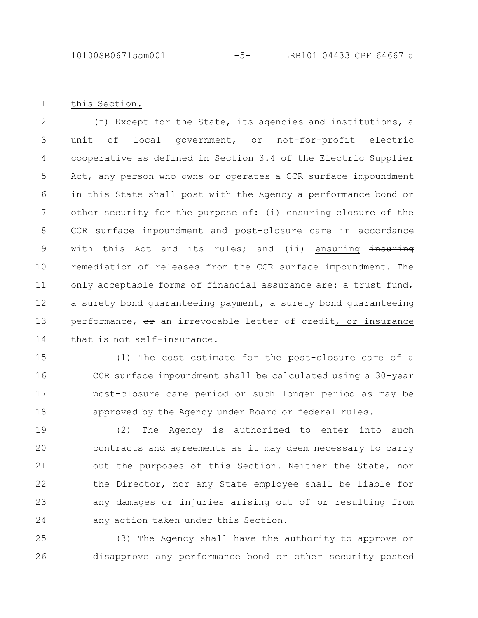this Section. 1

(f) Except for the State, its agencies and institutions, a unit of local government, or not-for-profit electric cooperative as defined in Section 3.4 of the Electric Supplier Act, any person who owns or operates a CCR surface impoundment in this State shall post with the Agency a performance bond or other security for the purpose of: (i) ensuring closure of the CCR surface impoundment and post-closure care in accordance with this Act and its rules; and (ii) ensuring insuring remediation of releases from the CCR surface impoundment. The only acceptable forms of financial assurance are: a trust fund, a surety bond guaranteeing payment, a surety bond guaranteeing performance, or an irrevocable letter of credit, or insurance that is not self-insurance. 2 3 4 5 6 7 8 9 10 11 12 13 14

(1) The cost estimate for the post-closure care of a CCR surface impoundment shall be calculated using a 30-year post-closure care period or such longer period as may be approved by the Agency under Board or federal rules. 15 16 17 18

(2) The Agency is authorized to enter into such contracts and agreements as it may deem necessary to carry out the purposes of this Section. Neither the State, nor the Director, nor any State employee shall be liable for any damages or injuries arising out of or resulting from any action taken under this Section. 19 20 21 22 23 24

(3) The Agency shall have the authority to approve or disapprove any performance bond or other security posted 25 26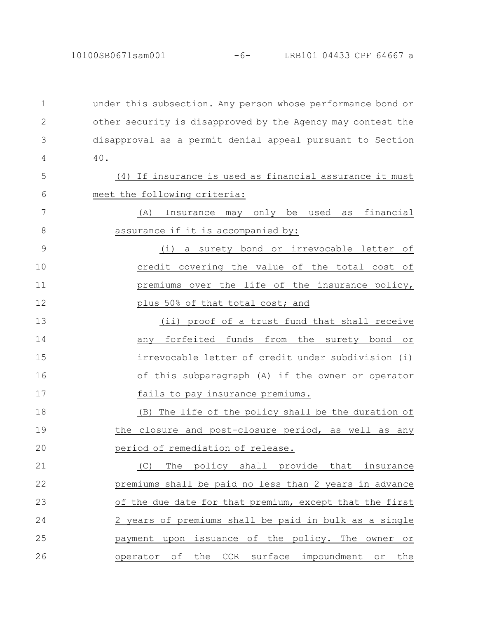under this subsection. Any person whose performance bond or other security is disapproved by the Agency may contest the disapproval as a permit denial appeal pursuant to Section 40. (4) If insurance is used as financial assurance it must meet the following criteria: (A) Insurance may only be used as financial assurance if it is accompanied by: (i) a surety bond or irrevocable letter of credit covering the value of the total cost of premiums over the life of the insurance policy, plus 50% of that total cost; and (ii) proof of a trust fund that shall receive any forfeited funds from the surety bond or irrevocable letter of credit under subdivision (i) of this subparagraph (A) if the owner or operator fails to pay insurance premiums. (B) The life of the policy shall be the duration of the closure and post-closure period, as well as any period of remediation of release. (C) The policy shall provide that insurance premiums shall be paid no less than 2 years in advance of the due date for that premium, except that the first 2 years of premiums shall be paid in bulk as a single payment upon issuance of the policy. The owner or operator of the CCR surface impoundment or the 1 2 3 4 5 6 7 8 9 10 11 12 13 14 15 16 17 18 19 20 21 22 23 24 25 26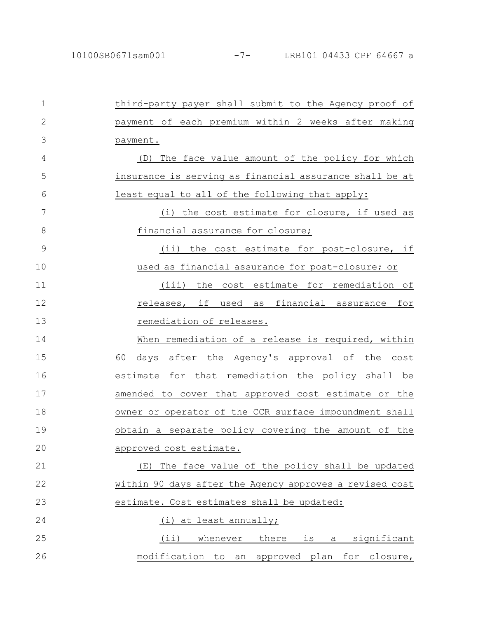| $\mathbf 1$  | third-party payer shall submit to the Agency proof of   |
|--------------|---------------------------------------------------------|
| $\mathbf{2}$ | payment of each premium within 2 weeks after making     |
| 3            | payment.                                                |
| 4            | (D) The face value amount of the policy for which       |
| 5            | insurance is serving as financial assurance shall be at |
| 6            | least equal to all of the following that apply:         |
| 7            | (i) the cost estimate for closure, if used as           |
| 8            | financial assurance for closure;                        |
| 9            | (ii) the cost estimate for post-closure, if             |
| 10           | used as financial assurance for post-closure; or        |
| 11           | (iii) the cost estimate for remediation of              |
| 12           | releases, if used as financial assurance for            |
| 13           | remediation of releases.                                |
| 14           | When remediation of a release is required, within       |
| 15           | 60<br>days after the Agency's approval of the cost      |
| 16           | estimate for that remediation the policy shall be       |
| 17           | amended to cover that approved cost estimate or the     |
| 18           | owner or operator of the CCR surface impoundment shall  |
| 19           | obtain a separate policy covering the amount of the     |
| 20           | approved cost estimate.                                 |
| 21           | The face value of the policy shall be updated<br>(E)    |
| 22           | within 90 days after the Agency approves a revised cost |
| 23           | estimate. Cost estimates shall be updated:              |
| 24           | (i) at least annually;                                  |
| 25           | $(i$ i)<br>whenever<br>there<br>a significant<br>is     |
| 26           | modification to an approved plan<br>for closure,        |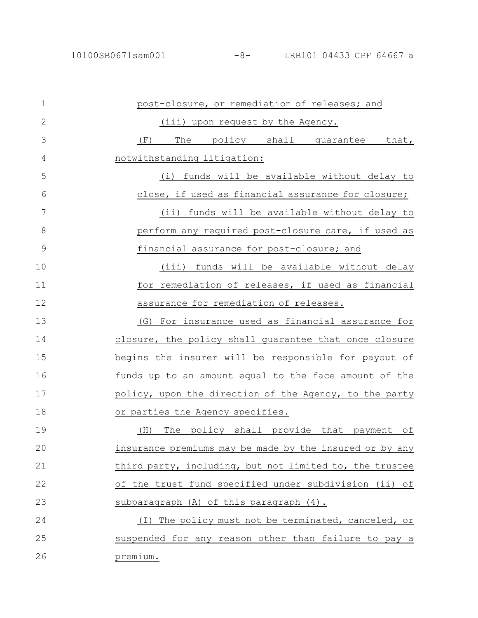## 10100SB0671sam001 -8- LRB101 04433 CPF 64667 a

| $\mathbf 1$   | post-closure, or remediation of releases; and           |
|---------------|---------------------------------------------------------|
| $\mathbf{2}$  | (iii) upon request by the Agency.                       |
| 3             | The policy shall guarantee that,<br>(F)                 |
| 4             | notwithstanding litigation:                             |
| 5             | (i) funds will be available without delay to            |
| 6             | close, if used as financial assurance for closure;      |
| 7             | (ii) funds will be available without delay to           |
| 8             | perform any required post-closure care, if used as      |
| $\mathcal{G}$ | financial assurance for post-closure; and               |
| 10            | funds will be available without delay<br>(iii)          |
| 11            | for remediation of releases, if used as financial       |
| 12            | assurance for remediation of releases.                  |
| 13            | (G) For insurance used as financial assurance for       |
| 14            | closure, the policy shall guarantee that once closure   |
| 15            | begins the insurer will be responsible for payout of    |
| 16            | funds up to an amount equal to the face amount of the   |
| 17            | policy, upon the direction of the Agency, to the party  |
| 18            | or parties the Agency specifies.                        |
| 19            | The policy shall provide that payment of<br>(H)         |
| 20            | insurance premiums may be made by the insured or by any |
| 21            | third party, including, but not limited to, the trustee |
| 22            | of the trust fund specified under subdivision (ii) of   |
| 23            | subparagraph (A) of this paragraph (4).                 |
| 24            | (I) The policy must not be terminated, canceled, or     |
| 25            | suspended for any reason other than failure to pay a    |
| 26            | premium.                                                |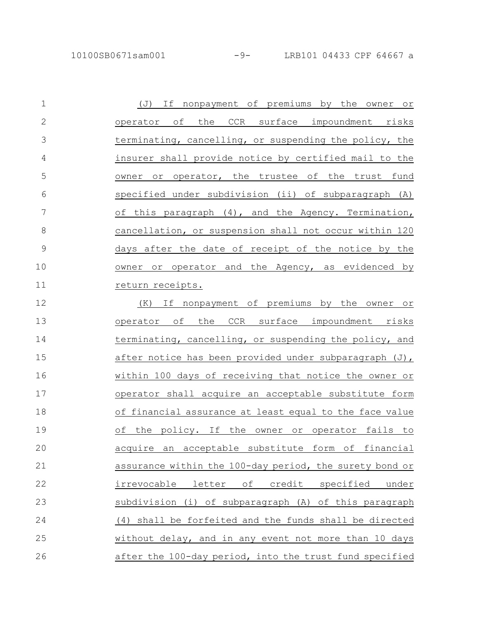| $\mathbf 1$   | If nonpayment of premiums by the owner or<br>( J)       |
|---------------|---------------------------------------------------------|
| $\mathbf{2}$  | operator of the CCR surface impoundment risks           |
| 3             | terminating, cancelling, or suspending the policy, the  |
| 4             | insurer shall provide notice by certified mail to the   |
| 5             | owner or operator, the trustee of the trust fund        |
| 6             | specified under subdivision (ii) of subparagraph (A)    |
| 7             | of this paragraph (4), and the Agency. Termination,     |
| $\,8\,$       | cancellation, or suspension shall not occur within 120  |
| $\mathcal{G}$ | days after the date of receipt of the notice by the     |
| 10            | owner or operator and the Agency, as evidenced by       |
| 11            | return receipts.                                        |
| 12            | If nonpayment of premiums by the owner or<br>(K)        |
| 13            | operator of<br>the<br>CCR surface impoundment risks     |
| 14            | terminating, cancelling, or suspending the policy, and  |
| 15            | after notice has been provided under subparagraph (J),  |
| 16            | within 100 days of receiving that notice the owner or   |
| 17            | operator shall acquire an acceptable substitute form    |
| 18            | of financial assurance at least equal to the face value |
| 19            | the policy. If the owner or operator fails to<br>оf     |
| 20            | acquire an acceptable substitute form of financial      |
| 21            | assurance within the 100-day period, the surety bond or |
| 22            | irrevocable letter of credit specified<br>under         |
| 23            | subdivision (i) of subparagraph (A) of this paragraph   |
| 24            | (4) shall be forfeited and the funds shall be directed  |
| 25            | without delay, and in any event not more than 10 days   |
| 26            | after the 100-day period, into the trust fund specified |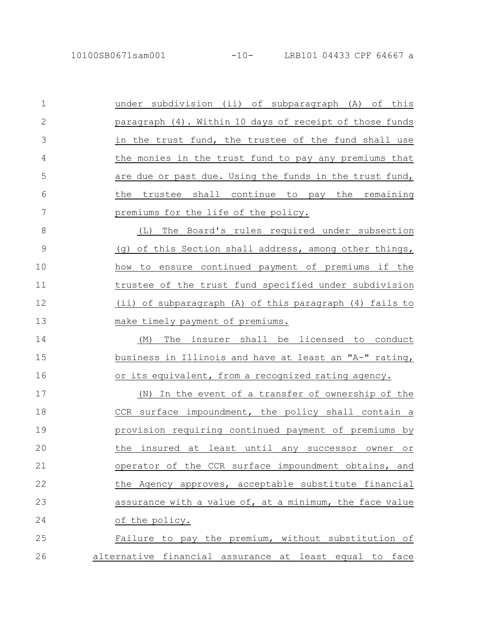| $\mathbf 1$  | under subdivision (ii) of subparagraph (A) of this                  |
|--------------|---------------------------------------------------------------------|
| $\mathbf{2}$ | paragraph (4). Within 10 days of receipt of those funds             |
| 3            | in the trust fund, the trustee of the fund shall use                |
| 4            | the monies in the trust fund to pay any premiums that               |
| 5            | are due or past due. Using the funds in the trust fund,             |
| 6            | the trustee shall continue to pay the remaining                     |
| 7            | premiums for the life of the policy.                                |
| 8            | The Board's rules required under subsection<br>(L)                  |
| 9            | of this Section shall address, among other things,<br>( )           |
| 10           | how to ensure continued payment of premiums if the                  |
| 11           | trustee of the trust fund specified under subdivision               |
| 12           | (ii) of subparagraph (A) of this paragraph (4) fails to             |
| 13           | make timely payment of premiums.                                    |
| 14           | The<br>insurer shall be licensed to conduct<br>(M)                  |
| 15           | business in Illinois and have at least an "A-" rating,              |
| 16           | or its equivalent, from a recognized rating agency.                 |
| 17           | In the event of a transfer of ownership of the<br>(N)               |
| 18           | CCR surface impoundment, the policy shall contain a                 |
| 19           | provision requiring continued payment of premiums by                |
| 20           | least until<br>the<br>insured at<br>any<br>successor<br>owner<br>Оr |
| 21           | operator of the CCR surface impoundment obtains, and                |
| 22           | the Agency approves, acceptable substitute financial                |
| 23           | assurance with a value of, at a minimum, the face value             |
| 24           | of the policy.                                                      |
| 25           | Failure to pay the premium, without substitution of                 |
| 26           | alternative financial assurance at least equal to face              |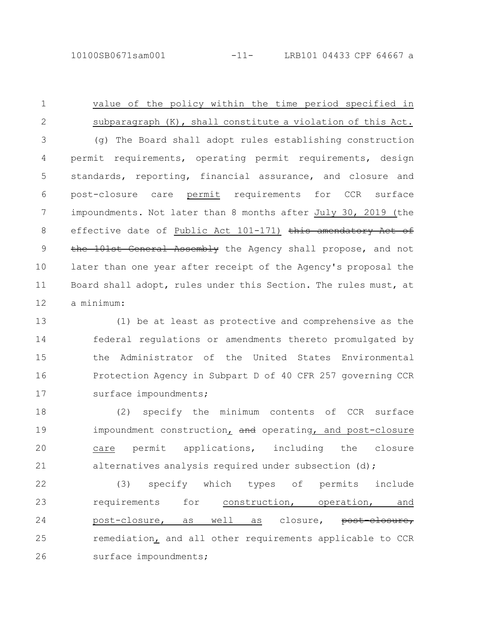value of the policy within the time period specified in subparagraph (K), shall constitute a violation of this Act. (g) The Board shall adopt rules establishing construction permit requirements, operating permit requirements, design standards, reporting, financial assurance, and closure and post-closure care permit requirements for CCR surface impoundments. Not later than 8 months after July 30, 2019 (the effective date of Public Act 101-171) this amendatory Act of the 101st General Assembly the Agency shall propose, and not later than one year after receipt of the Agency's proposal the Board shall adopt, rules under this Section. The rules must, at a minimum: 1 2 3 4 5 6 7 8 9 10 11 12

(1) be at least as protective and comprehensive as the federal regulations or amendments thereto promulgated by the Administrator of the United States Environmental Protection Agency in Subpart D of 40 CFR 257 governing CCR surface impoundments; 13 14 15 16 17

(2) specify the minimum contents of CCR surface impoundment construction, and operating, and post-closure care permit applications, including the closure alternatives analysis required under subsection (d); 18 19 20 21

(3) specify which types of permits include requirements for construction, operation, and post-closure, as well as closure, post-closure, remediation, and all other requirements applicable to CCR surface impoundments; 22 23 24 25 26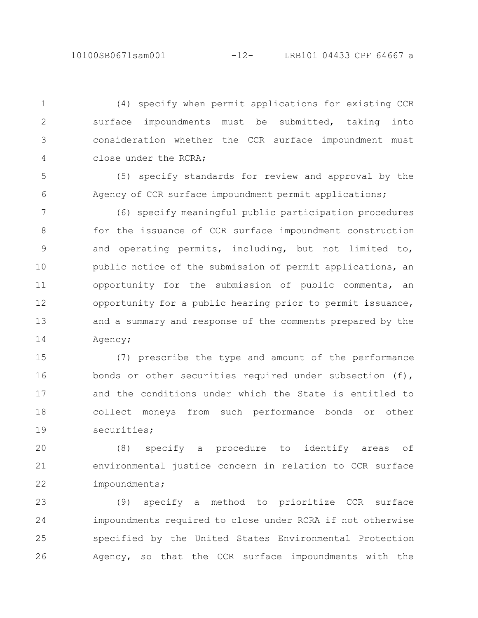(4) specify when permit applications for existing CCR surface impoundments must be submitted, taking into consideration whether the CCR surface impoundment must close under the RCRA; 1 2 3 4

(5) specify standards for review and approval by the Agency of CCR surface impoundment permit applications; 5 6

(6) specify meaningful public participation procedures for the issuance of CCR surface impoundment construction and operating permits, including, but not limited to, public notice of the submission of permit applications, an opportunity for the submission of public comments, an opportunity for a public hearing prior to permit issuance, and a summary and response of the comments prepared by the Agency; 7 8 9 10 11 12 13 14

(7) prescribe the type and amount of the performance bonds or other securities required under subsection (f), and the conditions under which the State is entitled to collect moneys from such performance bonds or other securities; 15 16 17 18 19

(8) specify a procedure to identify areas of environmental justice concern in relation to CCR surface impoundments; 20 21 22

(9) specify a method to prioritize CCR surface impoundments required to close under RCRA if not otherwise specified by the United States Environmental Protection Agency, so that the CCR surface impoundments with the 23 24 25 26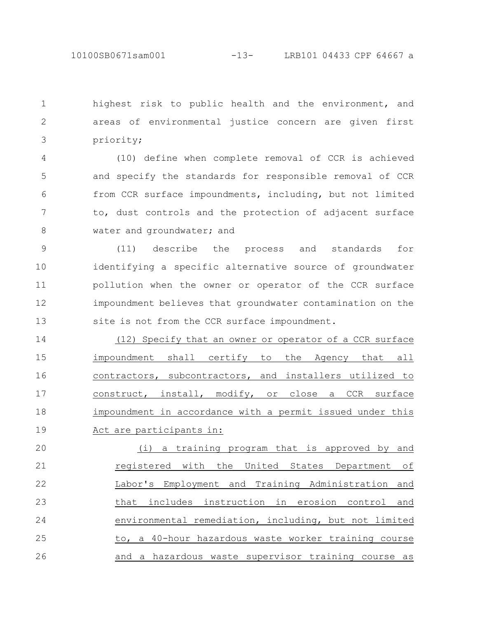highest risk to public health and the environment, and areas of environmental justice concern are given first priority; 1 2 3

(10) define when complete removal of CCR is achieved and specify the standards for responsible removal of CCR from CCR surface impoundments, including, but not limited to, dust controls and the protection of adjacent surface water and groundwater; and 4 5 6 7 8

(11) describe the process and standards for identifying a specific alternative source of groundwater pollution when the owner or operator of the CCR surface impoundment believes that groundwater contamination on the site is not from the CCR surface impoundment. 9 10 11 12 13

(12) Specify that an owner or operator of a CCR surface impoundment shall certify to the Agency that all contractors, subcontractors, and installers utilized to construct, install, modify, or close a CCR surface impoundment in accordance with a permit issued under this Act are participants in: 14 15 16 17 18 19

(i) a training program that is approved by and registered with the United States Department of Labor's Employment and Training Administration and that includes instruction in erosion control and environmental remediation, including, but not limited to, a 40-hour hazardous waste worker training course and a hazardous waste supervisor training course as 20 21 22 23 24 25 26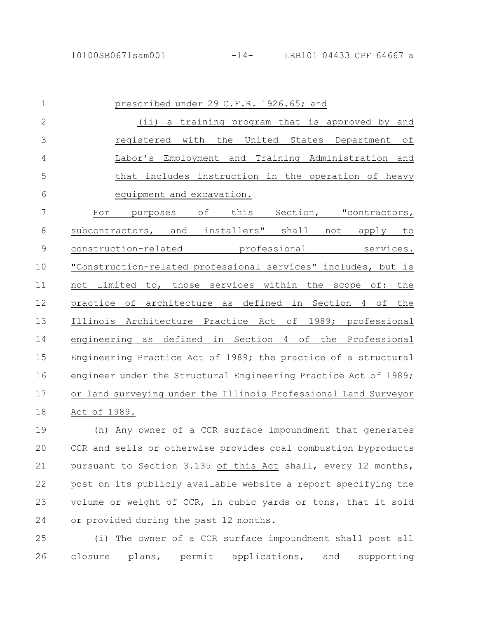| $\mathbf 1$    | prescribed under 29 C.F.R. 1926.65; and                             |
|----------------|---------------------------------------------------------------------|
| $\overline{2}$ | (i)<br>a training program that is approved by and                   |
| 3              | with<br>the<br>registered<br>United States<br>Department<br>оf      |
| 4              | Labor's Employment and Training Administration and                  |
| 5              | that includes instruction in the operation of heavy                 |
| 6              | equipment and excavation.                                           |
| 7              | this Section, "contractors,<br>оf<br>For<br>purposes                |
| 8              | subcontractors, and<br>installers" shall<br>not<br>apply<br>to      |
| $\mathcal{G}$  | construction-related<br>professional<br>services.                   |
| 10             | "Construction-related professional services" includes, but is       |
| 11             | not limited to, those services within the scope of: the             |
| 12             | practice of architecture as defined in Section 4 of the             |
| 13             | Illinois Architecture Practice Act of<br>1989; professional         |
| 14             | defined in Section<br>engineering<br>4 of<br>the Professional<br>as |
| 15             | Engineering Practice Act of 1989; the practice of a structural      |
| 16             | engineer under the Structural Engineering Practice Act of 1989;     |
| 17             | or land surveying under the Illinois Professional Land Surveyor     |
| 18             | Act of 1989.                                                        |

(h) Any owner of a CCR surface impoundment that generates CCR and sells or otherwise provides coal combustion byproducts pursuant to Section 3.135 of this Act shall, every 12 months, post on its publicly available website a report specifying the volume or weight of CCR, in cubic yards or tons, that it sold or provided during the past 12 months. 19 20 21 22 23 24

(i) The owner of a CCR surface impoundment shall post all closure plans, permit applications, and supporting 25 26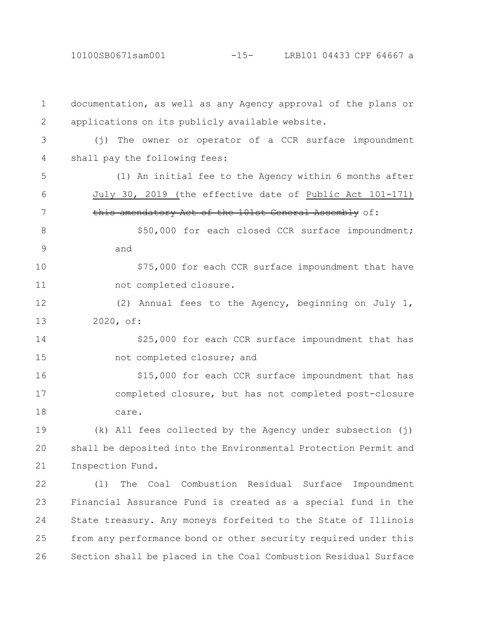10100SB0671sam001 -15- LRB101 04433 CPF 64667 a

documentation, as well as any Agency approval of the plans or applications on its publicly available website. (j) The owner or operator of a CCR surface impoundment shall pay the following fees: (1) An initial fee to the Agency within 6 months after July 30, 2019 (the effective date of Public Act 101-171) this amendatory Act of the 101st General Assembly of: \$50,000 for each closed CCR surface impoundment; and \$75,000 for each CCR surface impoundment that have not completed closure. (2) Annual fees to the Agency, beginning on July 1, 2020, of: \$25,000 for each CCR surface impoundment that has not completed closure; and \$15,000 for each CCR surface impoundment that has completed closure, but has not completed post-closure care. (k) All fees collected by the Agency under subsection (j) shall be deposited into the Environmental Protection Permit and Inspection Fund. (l) The Coal Combustion Residual Surface Impoundment Financial Assurance Fund is created as a special fund in the State treasury. Any moneys forfeited to the State of Illinois from any performance bond or other security required under this Section shall be placed in the Coal Combustion Residual Surface 1 2 3 4 5 6 7 8 9 10 11 12 13 14 15 16 17 18 19 20 21 22 23 24 25 26